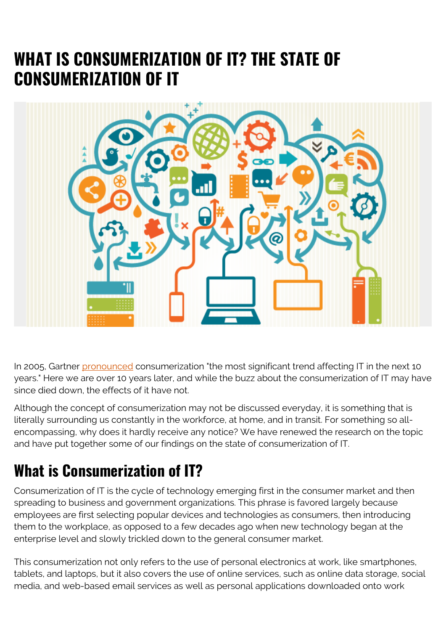# **WHAT IS CONSUMERIZATION OF IT? THE STATE OF CONSUMERIZATION OF IT**



In 2005, Gartner [pronounced](https://www.gartner.com/en/documents/605114/key-issues-for-the-consumerization-of-it-2008) consumerization "the most significant trend affecting IT in the next 10 years." Here we are over 10 years later, and while the buzz about the consumerization of IT may have since died down, the effects of it have not.

Although the concept of consumerization may not be discussed everyday, it is something that is literally surrounding us constantly in the workforce, at home, and in transit. For something so allencompassing, why does it hardly receive any notice? We have renewed the research on the topic and have put together some of our findings on the state of consumerization of IT.

# **What is Consumerization of IT?**

Consumerization of IT is the cycle of technology emerging first in the consumer market and then spreading to business and government organizations. This phrase is favored largely because employees are first selecting popular devices and technologies as consumers, then introducing them to the workplace, as opposed to a few decades ago when new technology began at the enterprise level and slowly trickled down to the general consumer market.

This consumerization not only refers to the use of personal electronics at work, like smartphones, tablets, and laptops, but it also covers the use of online services, such as online data storage, social media, and web-based email services as well as personal applications downloaded onto work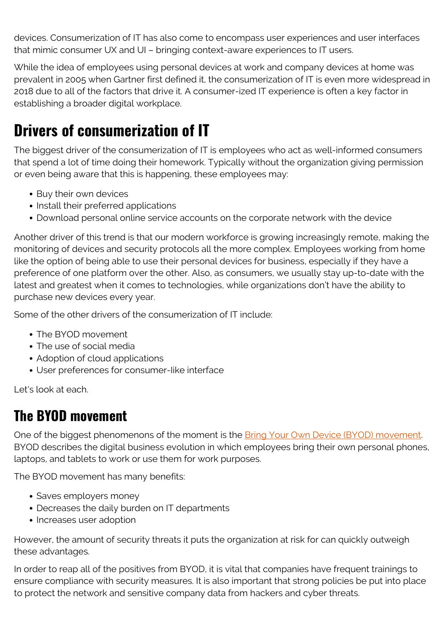devices. Consumerization of IT has also come to encompass user experiences and user interfaces that mimic consumer UX and UI – bringing context-aware experiences to IT users.

While the idea of employees using personal devices at work and company devices at home was prevalent in 2005 when Gartner first defined it, the consumerization of IT is even more widespread in 2018 due to all of the factors that drive it. A consumer-ized IT experience is often a key factor in establishing a broader digital workplace.

## **Drivers of consumerization of IT**

The biggest driver of the consumerization of IT is employees who act as well-informed consumers that spend a lot of time doing their homework. Typically without the organization giving permission or even being aware that this is happening, these employees may:

- Buy their own devices
- Install their preferred applications
- Download personal online service accounts on the corporate network with the device

Another driver of this trend is that our modern workforce is growing increasingly remote, making the monitoring of devices and security protocols all the more complex. Employees working from home like the option of being able to use their personal devices for business, especially if they have a preference of one platform over the other. Also, as consumers, we usually stay up-to-date with the latest and greatest when it comes to technologies, while organizations don't have the ability to purchase new devices every year.

Some of the other drivers of the consumerization of IT include:

- The BYOD movement
- The use of social media
- Adoption of cloud applications
- User preferences for consumer-Iike interface

Let's look at each.

### **The BYOD movement**

One of the biggest phenomenons of the moment is the **Bring Your Own Device (BYOD)** movement. BYOD describes the digital business evolution in which employees bring their own personal phones, laptops, and tablets to work or use them for work purposes.

The BYOD movement has many benefits:

- Saves employers money
- Decreases the daily burden on IT departments
- Increases user adoption

However, the amount of security threats it puts the organization at risk for can quickly outweigh these advantages.

In order to reap all of the positives from BYOD, it is vital that companies have frequent trainings to ensure compliance with security measures. It is also important that strong policies be put into place to protect the network and sensitive company data from hackers and cyber threats.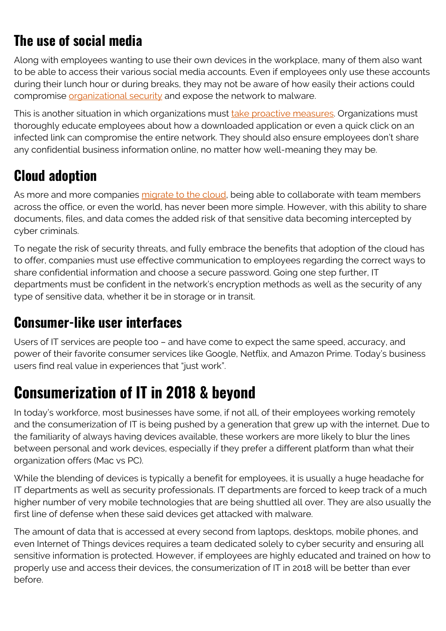## **The use of social media**

Along with employees wanting to use their own devices in the workplace, many of them also want to be able to access their various social media accounts. Even if employees only use these accounts during their lunch hour or during breaks, they may not be aware of how easily their actions could compromise [organizational security](https://blogs.bmc.com/blogs/state-of-secops/) and expose the network to malware.

This is another situation in which organizations must [take proactive measures.](https://blogs.bmc.com/blogs/offensive-defensive-leadership/) Organizations must thoroughly educate employees about how a downloaded application or even a quick click on an infected link can compromise the entire network. They should also ensure employees don't share any confidential business information online, no matter how well-meaning they may be.

### **Cloud adoption**

As more and more companies [migrate to the cloud,](https://blogs.bmc.com/blogs/saas-vs-paas-vs-iaas-whats-the-difference-and-how-to-choose/) being able to collaborate with team members across the office, or even the world, has never been more simple. However, with this ability to share documents, files, and data comes the added risk of that sensitive data becoming intercepted by cyber criminals.

To negate the risk of security threats, and fully embrace the benefits that adoption of the cloud has to offer, companies must use effective communication to employees regarding the correct ways to share confidential information and choose a secure password. Going one step further, IT departments must be confident in the network's encryption methods as well as the security of any type of sensitive data, whether it be in storage or in transit.

### **Consumer-like user interfaces**

Users of IT services are people too – and have come to expect the same speed, accuracy, and power of their favorite consumer services like Google, Netflix, and Amazon Prime. Today's business users find real value in experiences that "just work".

## **Consumerization of IT in 2018 & beyond**

In today's workforce, most businesses have some, if not all, of their employees working remotely and the consumerization of IT is being pushed by a generation that grew up with the internet. Due to the familiarity of always having devices available, these workers are more likely to blur the lines between personal and work devices, especially if they prefer a different platform than what their organization offers (Mac vs PC).

While the blending of devices is typically a benefit for employees, it is usually a huge headache for IT departments as well as security professionals. IT departments are forced to keep track of a much higher number of very mobile technologies that are being shuttled all over. They are also usually the first line of defense when these said devices get attacked with malware.

The amount of data that is accessed at every second from laptops, desktops, mobile phones, and even Internet of Things devices requires a team dedicated solely to cyber security and ensuring all sensitive information is protected. However, if employees are highly educated and trained on how to properly use and access their devices, the consumerization of IT in 2018 will be better than ever before.